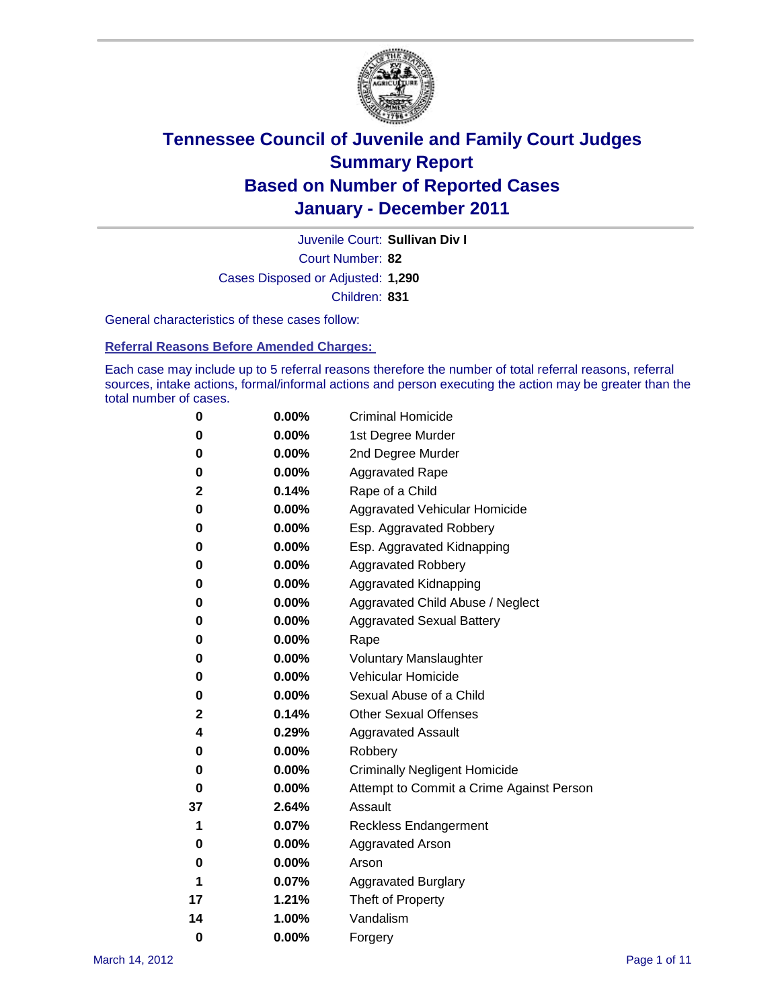

Court Number: **82** Juvenile Court: **Sullivan Div I** Cases Disposed or Adjusted: **1,290** Children: **831**

General characteristics of these cases follow:

**Referral Reasons Before Amended Charges:** 

Each case may include up to 5 referral reasons therefore the number of total referral reasons, referral sources, intake actions, formal/informal actions and person executing the action may be greater than the total number of cases.

| 0  | 0.00%    | <b>Criminal Homicide</b>                 |
|----|----------|------------------------------------------|
| 0  | 0.00%    | 1st Degree Murder                        |
| 0  | 0.00%    | 2nd Degree Murder                        |
| 0  | 0.00%    | <b>Aggravated Rape</b>                   |
| 2  | 0.14%    | Rape of a Child                          |
| 0  | 0.00%    | Aggravated Vehicular Homicide            |
| 0  | 0.00%    | Esp. Aggravated Robbery                  |
| 0  | 0.00%    | Esp. Aggravated Kidnapping               |
| 0  | 0.00%    | <b>Aggravated Robbery</b>                |
| 0  | 0.00%    | Aggravated Kidnapping                    |
| 0  | 0.00%    | Aggravated Child Abuse / Neglect         |
| 0  | $0.00\%$ | <b>Aggravated Sexual Battery</b>         |
| 0  | 0.00%    | Rape                                     |
| 0  | 0.00%    | <b>Voluntary Manslaughter</b>            |
| 0  | 0.00%    | Vehicular Homicide                       |
| 0  | 0.00%    | Sexual Abuse of a Child                  |
| 2  | 0.14%    | <b>Other Sexual Offenses</b>             |
| 4  | 0.29%    | <b>Aggravated Assault</b>                |
| 0  | $0.00\%$ | Robbery                                  |
| 0  | 0.00%    | <b>Criminally Negligent Homicide</b>     |
| 0  | 0.00%    | Attempt to Commit a Crime Against Person |
| 37 | 2.64%    | Assault                                  |
| 1  | 0.07%    | <b>Reckless Endangerment</b>             |
| 0  | 0.00%    | <b>Aggravated Arson</b>                  |
| 0  | 0.00%    | Arson                                    |
| 1  | 0.07%    | <b>Aggravated Burglary</b>               |
| 17 | 1.21%    | Theft of Property                        |
| 14 | 1.00%    | Vandalism                                |
| 0  | 0.00%    | Forgery                                  |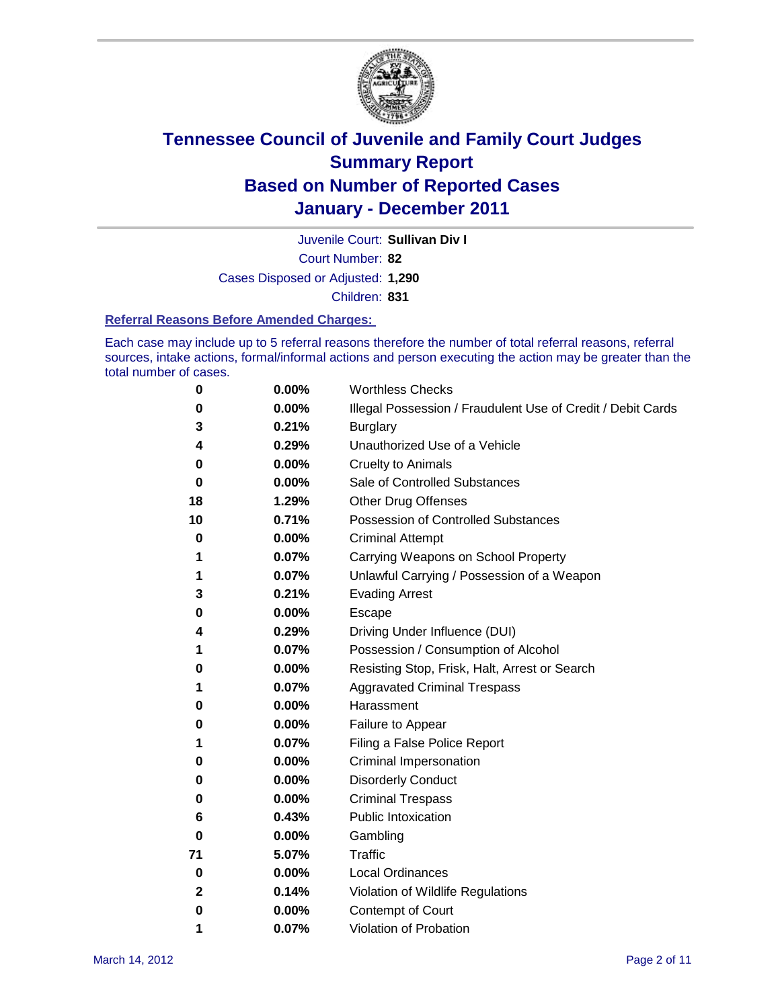

Juvenile Court: **Sullivan Div I**

Court Number: **82**

Cases Disposed or Adjusted: **1,290**

Children: **831**

#### **Referral Reasons Before Amended Charges:**

Each case may include up to 5 referral reasons therefore the number of total referral reasons, referral sources, intake actions, formal/informal actions and person executing the action may be greater than the total number of cases.

| 0            | 0.00% | <b>Worthless Checks</b>                                     |  |  |  |
|--------------|-------|-------------------------------------------------------------|--|--|--|
| 0            | 0.00% | Illegal Possession / Fraudulent Use of Credit / Debit Cards |  |  |  |
| 3            | 0.21% | <b>Burglary</b>                                             |  |  |  |
| 4            | 0.29% | Unauthorized Use of a Vehicle                               |  |  |  |
| 0            | 0.00% | <b>Cruelty to Animals</b>                                   |  |  |  |
| 0            | 0.00% | Sale of Controlled Substances                               |  |  |  |
| 18           | 1.29% | <b>Other Drug Offenses</b>                                  |  |  |  |
| 10           | 0.71% | <b>Possession of Controlled Substances</b>                  |  |  |  |
| 0            | 0.00% | <b>Criminal Attempt</b>                                     |  |  |  |
| 1            | 0.07% | Carrying Weapons on School Property                         |  |  |  |
| 1            | 0.07% | Unlawful Carrying / Possession of a Weapon                  |  |  |  |
| 3            | 0.21% | <b>Evading Arrest</b>                                       |  |  |  |
| 0            | 0.00% | Escape                                                      |  |  |  |
| 4            | 0.29% | Driving Under Influence (DUI)                               |  |  |  |
| 1            | 0.07% | Possession / Consumption of Alcohol                         |  |  |  |
| 0            | 0.00% | Resisting Stop, Frisk, Halt, Arrest or Search               |  |  |  |
| 1            | 0.07% | <b>Aggravated Criminal Trespass</b>                         |  |  |  |
| 0            | 0.00% | Harassment                                                  |  |  |  |
| 0            | 0.00% | Failure to Appear                                           |  |  |  |
| 1            | 0.07% | Filing a False Police Report                                |  |  |  |
| 0            | 0.00% | Criminal Impersonation                                      |  |  |  |
| 0            | 0.00% | <b>Disorderly Conduct</b>                                   |  |  |  |
| 0            | 0.00% | <b>Criminal Trespass</b>                                    |  |  |  |
| 6            | 0.43% | <b>Public Intoxication</b>                                  |  |  |  |
| 0            | 0.00% | Gambling                                                    |  |  |  |
| 71           | 5.07% | Traffic                                                     |  |  |  |
| 0            | 0.00% | <b>Local Ordinances</b>                                     |  |  |  |
| $\mathbf{2}$ | 0.14% | Violation of Wildlife Regulations                           |  |  |  |
| 0            | 0.00% | Contempt of Court                                           |  |  |  |
| 1            | 0.07% | Violation of Probation                                      |  |  |  |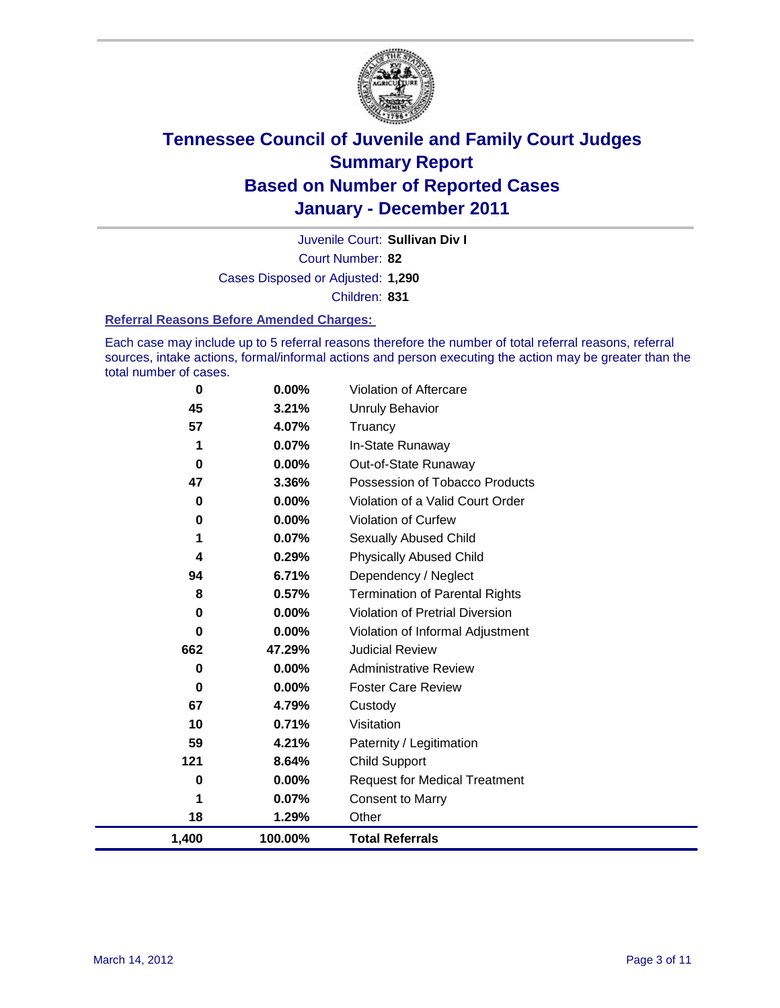

Court Number: **82** Juvenile Court: **Sullivan Div I** Cases Disposed or Adjusted: **1,290** Children: **831**

#### **Referral Reasons Before Amended Charges:**

Each case may include up to 5 referral reasons therefore the number of total referral reasons, referral sources, intake actions, formal/informal actions and person executing the action may be greater than the total number of cases.

| $\mathbf 0$ | 0.00%    | Violation of Aftercare                 |
|-------------|----------|----------------------------------------|
| 45          | 3.21%    | <b>Unruly Behavior</b>                 |
| 57          | 4.07%    | Truancy                                |
| 1           | 0.07%    | In-State Runaway                       |
| $\bf{0}$    | 0.00%    | Out-of-State Runaway                   |
| 47          | 3.36%    | Possession of Tobacco Products         |
| 0           | 0.00%    | Violation of a Valid Court Order       |
| 0           | 0.00%    | Violation of Curfew                    |
| 1           | 0.07%    | Sexually Abused Child                  |
| 4           | 0.29%    | <b>Physically Abused Child</b>         |
| 94          | 6.71%    | Dependency / Neglect                   |
| 8           | 0.57%    | <b>Termination of Parental Rights</b>  |
| 0           | 0.00%    | <b>Violation of Pretrial Diversion</b> |
| 0           | 0.00%    | Violation of Informal Adjustment       |
| 662         | 47.29%   | <b>Judicial Review</b>                 |
| 0           | 0.00%    | <b>Administrative Review</b>           |
| 0           | $0.00\%$ | <b>Foster Care Review</b>              |
| 67          | 4.79%    | Custody                                |
| 10          | 0.71%    | Visitation                             |
| 59          | 4.21%    | Paternity / Legitimation               |
| 121         | 8.64%    | <b>Child Support</b>                   |
| 0           | $0.00\%$ | <b>Request for Medical Treatment</b>   |
| 1           | 0.07%    | <b>Consent to Marry</b>                |
| 18          | 1.29%    | Other                                  |
| 1,400       | 100.00%  | <b>Total Referrals</b>                 |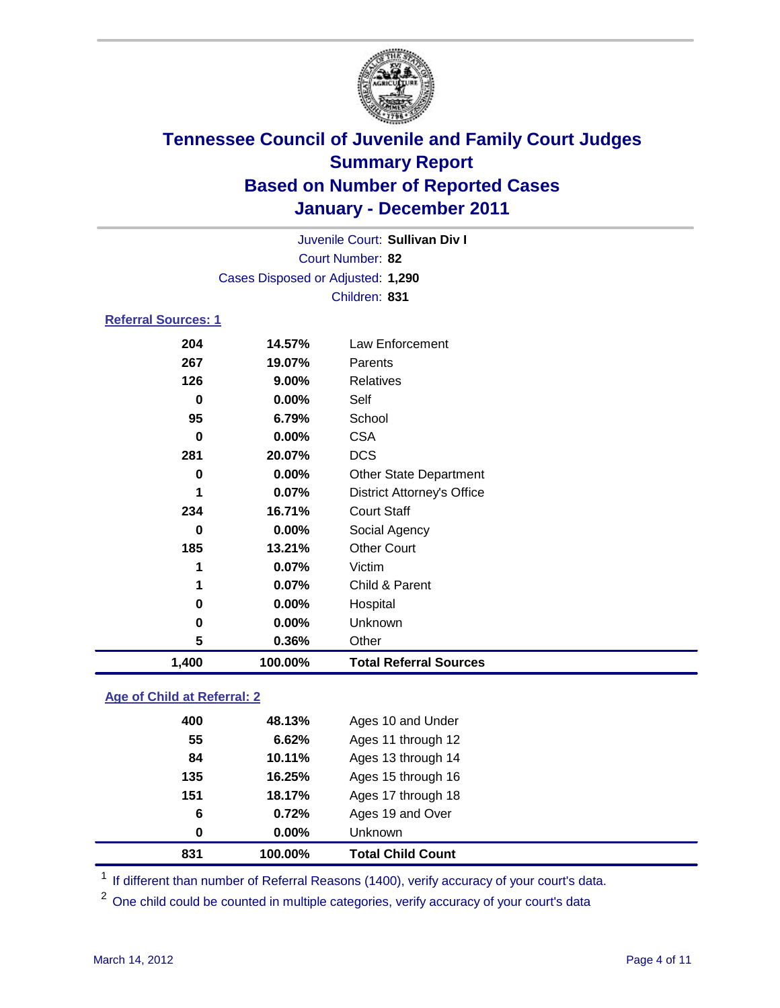

|                            |                                   | Juvenile Court: Sullivan Div I    |  |  |  |
|----------------------------|-----------------------------------|-----------------------------------|--|--|--|
| Court Number: 82           |                                   |                                   |  |  |  |
|                            | Cases Disposed or Adjusted: 1,290 |                                   |  |  |  |
|                            |                                   | Children: 831                     |  |  |  |
| <b>Referral Sources: 1</b> |                                   |                                   |  |  |  |
| 204                        | 14.57%                            | Law Enforcement                   |  |  |  |
| 267                        | 19.07%                            | Parents                           |  |  |  |
| 126                        | $9.00\%$                          | Relatives                         |  |  |  |
| 0                          | $0.00\%$                          | Self                              |  |  |  |
| 95                         | 6.79%                             | School                            |  |  |  |
| 0                          | $0.00\%$                          | <b>CSA</b>                        |  |  |  |
| 281                        | 20.07%                            | <b>DCS</b>                        |  |  |  |
| 0                          | $0.00\%$                          | <b>Other State Department</b>     |  |  |  |
| 1                          | $0.07\%$                          | <b>District Attorney's Office</b> |  |  |  |

| 1,400 | 100.00%  | <b>Total Referral Sources</b> |  |
|-------|----------|-------------------------------|--|
| 5     | 0.36%    | Other                         |  |
| 0     | $0.00\%$ | Unknown                       |  |
| 0     | 0.00%    | Hospital                      |  |
| 1     | 0.07%    | Child & Parent                |  |
| 1     | 0.07%    | Victim                        |  |
| 185   | 13.21%   | <b>Other Court</b>            |  |
| 0     | 0.00%    | Social Agency                 |  |
| 234   | 16.71%   | <b>Court Staff</b>            |  |
|       |          |                               |  |

### **Age of Child at Referral: 2**

| 151<br>6<br>0 | 18.17%<br>0.72%<br>0.00% | Ages 17 through 18<br>Ages 19 and Over<br>Unknown |
|---------------|--------------------------|---------------------------------------------------|
|               |                          |                                                   |
|               |                          |                                                   |
|               |                          |                                                   |
| 135           | 16.25%                   | Ages 15 through 16                                |
| 84            | 10.11%                   | Ages 13 through 14                                |
| 55            | 6.62%                    | Ages 11 through 12                                |
| 400           | 48.13%                   | Ages 10 and Under                                 |
|               |                          |                                                   |

<sup>1</sup> If different than number of Referral Reasons (1400), verify accuracy of your court's data.

<sup>2</sup> One child could be counted in multiple categories, verify accuracy of your court's data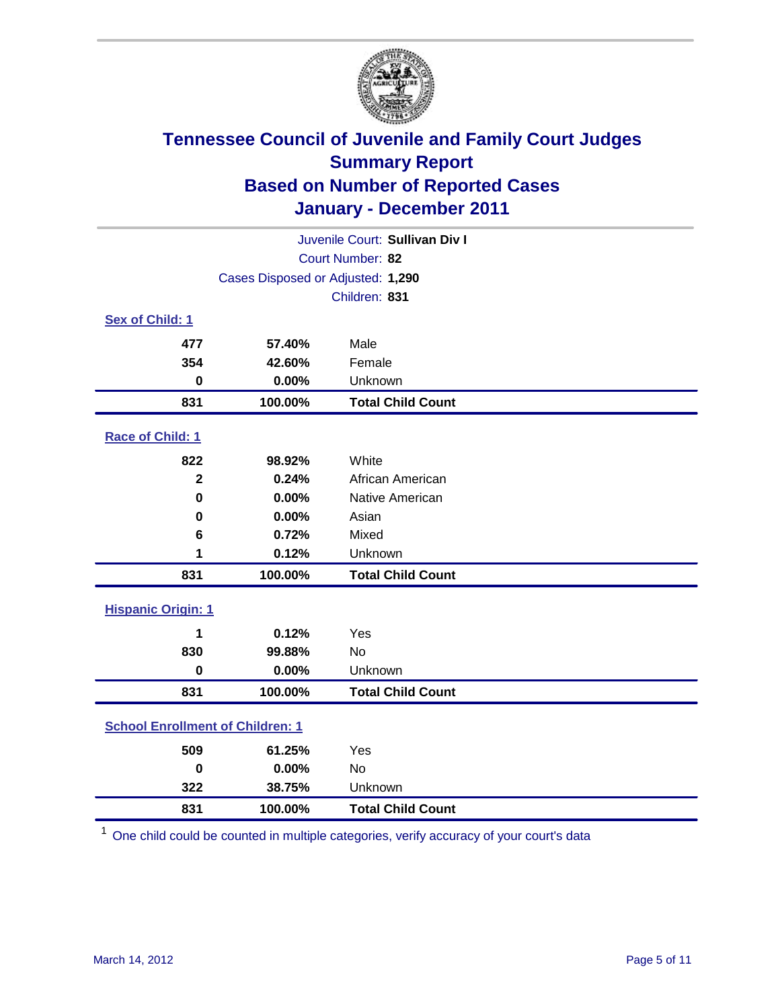

| Juvenile Court: Sullivan Div I |                                         |                          |  |  |  |
|--------------------------------|-----------------------------------------|--------------------------|--|--|--|
|                                | Court Number: 82                        |                          |  |  |  |
|                                | Cases Disposed or Adjusted: 1,290       |                          |  |  |  |
|                                | Children: 831                           |                          |  |  |  |
| Sex of Child: 1                |                                         |                          |  |  |  |
| 477                            | 57.40%                                  | Male                     |  |  |  |
| 354                            | 42.60%                                  | Female                   |  |  |  |
| $\bf{0}$                       | 0.00%                                   | Unknown                  |  |  |  |
| 831                            | 100.00%                                 | <b>Total Child Count</b> |  |  |  |
| Race of Child: 1               |                                         |                          |  |  |  |
| 822                            | 98.92%                                  | White                    |  |  |  |
| $\overline{2}$                 | 0.24%                                   | African American         |  |  |  |
| $\mathbf 0$                    | 0.00%                                   | Native American          |  |  |  |
| 0                              | 0.00%                                   | Asian                    |  |  |  |
| 6                              | 0.72%                                   | Mixed                    |  |  |  |
| 1                              | 0.12%                                   | Unknown                  |  |  |  |
| 831                            | 100.00%                                 | <b>Total Child Count</b> |  |  |  |
| <b>Hispanic Origin: 1</b>      |                                         |                          |  |  |  |
| 1                              | 0.12%                                   | Yes                      |  |  |  |
| 830                            | 99.88%                                  | <b>No</b>                |  |  |  |
| 0                              | 0.00%                                   | Unknown                  |  |  |  |
| 831                            | 100.00%                                 | <b>Total Child Count</b> |  |  |  |
|                                | <b>School Enrollment of Children: 1</b> |                          |  |  |  |
| 509                            | 61.25%                                  | Yes                      |  |  |  |
| $\bf{0}$                       | 0.00%                                   | No                       |  |  |  |
| 322                            | 38.75%                                  | Unknown                  |  |  |  |
| 831                            | 100.00%                                 | <b>Total Child Count</b> |  |  |  |

One child could be counted in multiple categories, verify accuracy of your court's data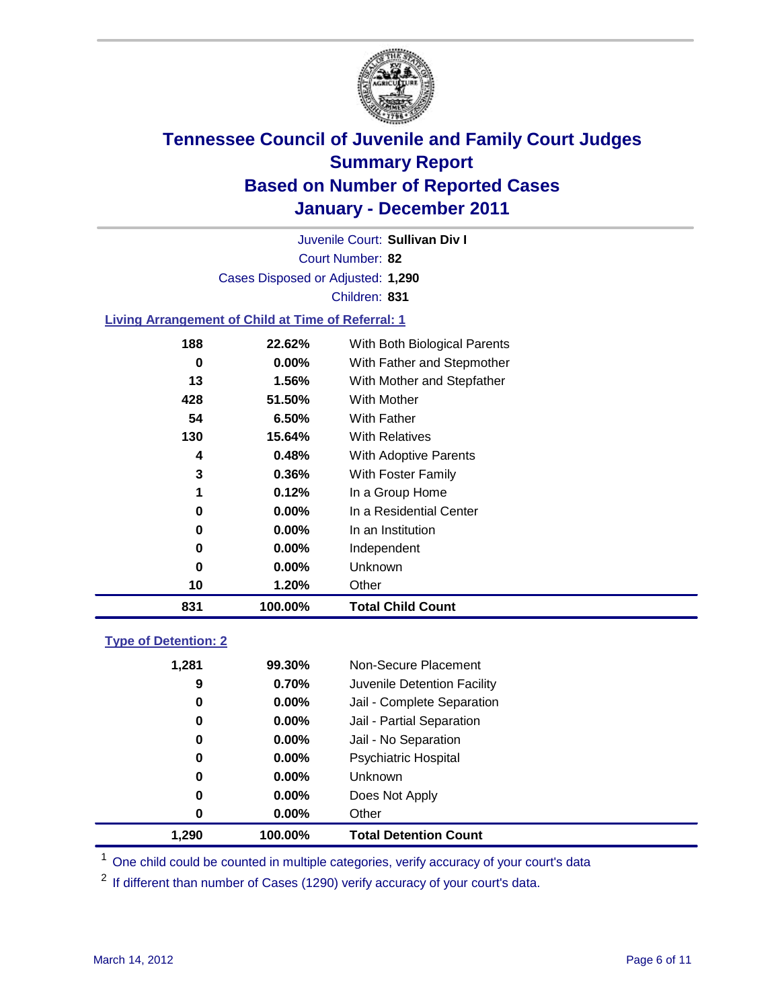

Court Number: **82** Juvenile Court: **Sullivan Div I** Cases Disposed or Adjusted: **1,290** Children: **831**

### **Living Arrangement of Child at Time of Referral: 1**

| 831 | 100.00%  | <b>Total Child Count</b>     |
|-----|----------|------------------------------|
| 10  | 1.20%    | Other                        |
| 0   | $0.00\%$ | Unknown                      |
| 0   | $0.00\%$ | Independent                  |
| 0   | $0.00\%$ | In an Institution            |
| 0   | $0.00\%$ | In a Residential Center      |
| 1   | 0.12%    | In a Group Home              |
| 3   | 0.36%    | With Foster Family           |
| 4   | 0.48%    | With Adoptive Parents        |
| 130 | 15.64%   | <b>With Relatives</b>        |
| 54  | 6.50%    | With Father                  |
| 428 | 51.50%   | <b>With Mother</b>           |
| 13  | 1.56%    | With Mother and Stepfather   |
| 0   | $0.00\%$ | With Father and Stepmother   |
| 188 | 22.62%   | With Both Biological Parents |
|     |          |                              |

### **Type of Detention: 2**

| 1.290    | 100.00%  | <b>Total Detention Count</b> |
|----------|----------|------------------------------|
| 0        | $0.00\%$ | Other                        |
| 0        | 0.00%    | Does Not Apply               |
| 0        | $0.00\%$ | Unknown                      |
| 0        | $0.00\%$ | <b>Psychiatric Hospital</b>  |
| $\bf{0}$ | 0.00%    | Jail - No Separation         |
| 0        | $0.00\%$ | Jail - Partial Separation    |
| 0        | 0.00%    | Jail - Complete Separation   |
| 9        | 0.70%    | Juvenile Detention Facility  |
| 1,281    | 99.30%   | Non-Secure Placement         |
|          |          |                              |

<sup>1</sup> One child could be counted in multiple categories, verify accuracy of your court's data

<sup>2</sup> If different than number of Cases (1290) verify accuracy of your court's data.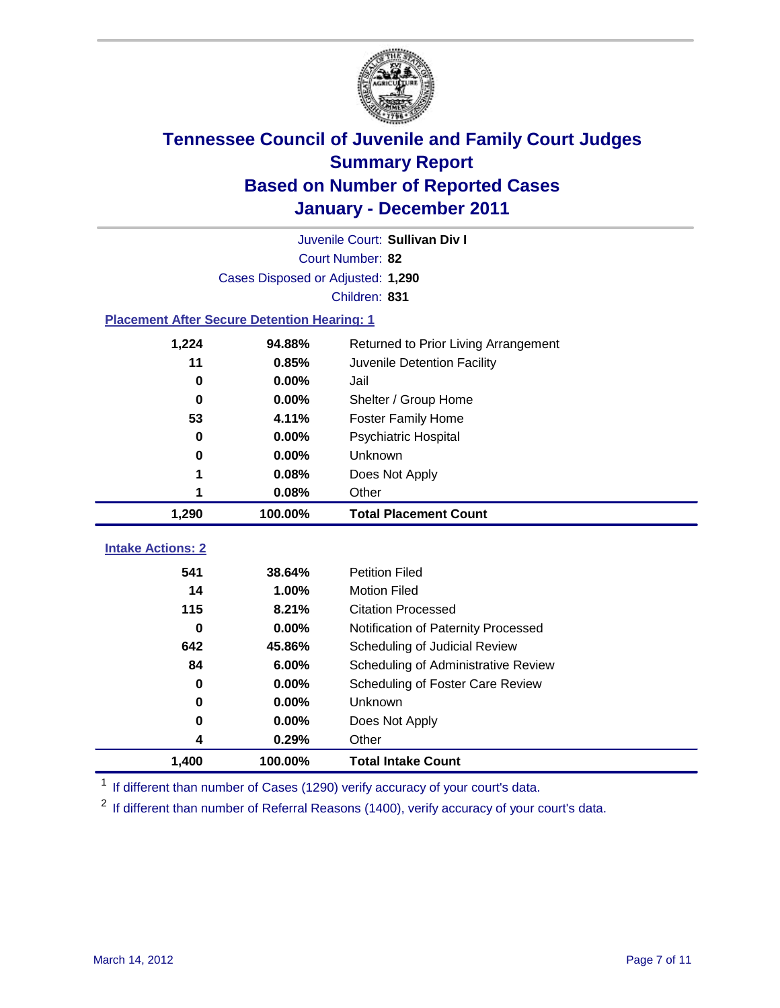

|                                                    | Juvenile Court: Sullivan Div I    |                                      |  |  |
|----------------------------------------------------|-----------------------------------|--------------------------------------|--|--|
|                                                    | Court Number: 82                  |                                      |  |  |
|                                                    | Cases Disposed or Adjusted: 1,290 |                                      |  |  |
|                                                    |                                   | Children: 831                        |  |  |
| <b>Placement After Secure Detention Hearing: 1</b> |                                   |                                      |  |  |
| 1,224                                              | 94.88%                            | Returned to Prior Living Arrangement |  |  |
| 11                                                 | 0.85%                             | Juvenile Detention Facility          |  |  |
| $\bf{0}$                                           | 0.00%                             | Jail                                 |  |  |
| $\bf{0}$                                           | 0.00%                             | Shelter / Group Home                 |  |  |
| 53                                                 | 4.11%                             | <b>Foster Family Home</b>            |  |  |
| 0                                                  | 0.00%                             | Psychiatric Hospital                 |  |  |
| 0                                                  | 0.00%                             | Unknown                              |  |  |
| 1                                                  | 0.08%                             | Does Not Apply                       |  |  |
| 1                                                  | 0.08%                             | Other                                |  |  |
| 1,290                                              | 100.00%                           | <b>Total Placement Count</b>         |  |  |
| <b>Intake Actions: 2</b>                           |                                   |                                      |  |  |
| 541                                                | 38.64%                            |                                      |  |  |
| 14                                                 |                                   | <b>Petition Filed</b>                |  |  |
|                                                    | 1.00%                             | <b>Motion Filed</b>                  |  |  |
| 115                                                | 8.21%                             | <b>Citation Processed</b>            |  |  |
| 0                                                  | 0.00%                             | Notification of Paternity Processed  |  |  |
| 642                                                | 45.86%                            | Scheduling of Judicial Review        |  |  |
| 84                                                 | 6.00%                             | Scheduling of Administrative Review  |  |  |
| 0                                                  | 0.00%                             | Scheduling of Foster Care Review     |  |  |
| $\bf{0}$                                           | 0.00%                             | Unknown                              |  |  |
| 0                                                  | 0.00%                             | Does Not Apply                       |  |  |
| 4                                                  | 0.29%                             | Other                                |  |  |

<sup>1</sup> If different than number of Cases (1290) verify accuracy of your court's data.

<sup>2</sup> If different than number of Referral Reasons (1400), verify accuracy of your court's data.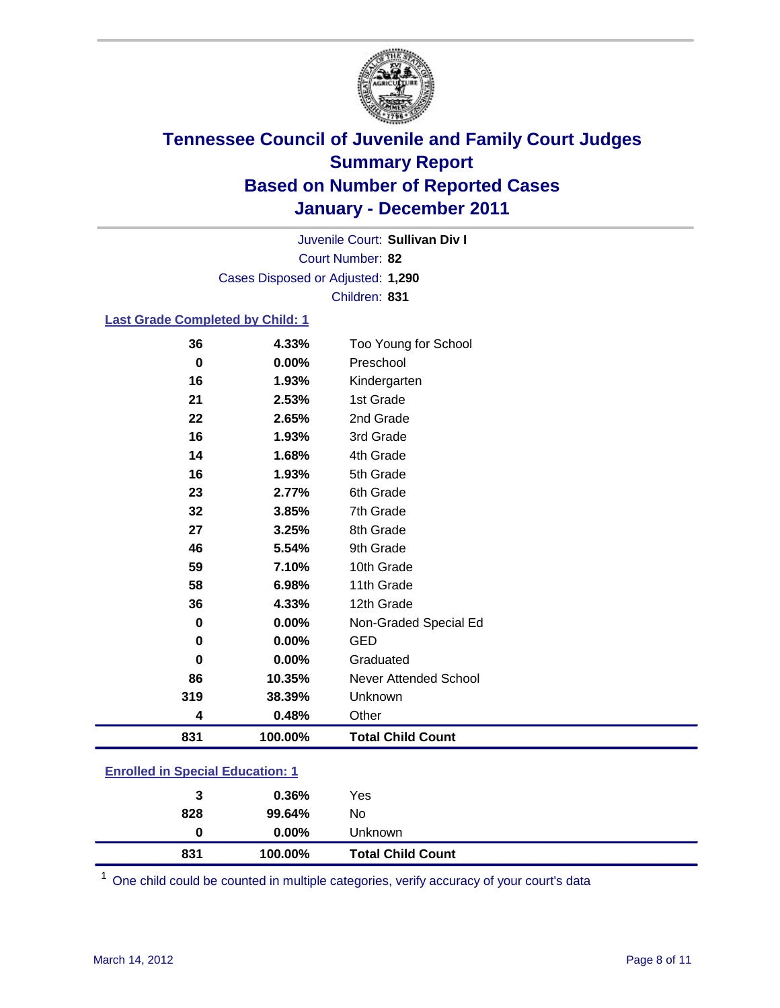

Court Number: **82** Juvenile Court: **Sullivan Div I** Cases Disposed or Adjusted: **1,290** Children: **831**

### **Last Grade Completed by Child: 1**

| 831      | 100.00% | <b>Total Child Count</b>     |  |
|----------|---------|------------------------------|--|
| 4        | 0.48%   | Other                        |  |
| 319      | 38.39%  | Unknown                      |  |
| 86       | 10.35%  | <b>Never Attended School</b> |  |
| $\bf{0}$ | 0.00%   | Graduated                    |  |
| 0        | 0.00%   | <b>GED</b>                   |  |
| 0        | 0.00%   | Non-Graded Special Ed        |  |
| 36       | 4.33%   | 12th Grade                   |  |
| 58       | 6.98%   | 11th Grade                   |  |
| 59       | 7.10%   | 10th Grade                   |  |
| 46       | 5.54%   | 9th Grade                    |  |
| 27       | 3.25%   | 8th Grade                    |  |
| 32       | 3.85%   | 7th Grade                    |  |
| 23       | 2.77%   | 6th Grade                    |  |
| 16       | 1.93%   | 5th Grade                    |  |
| 14       | 1.68%   | 4th Grade                    |  |
| 16       | 1.93%   | 3rd Grade                    |  |
| 22       | 2.65%   | 2nd Grade                    |  |
| 21       | 2.53%   | 1st Grade                    |  |
| 16       | 1.93%   | Kindergarten                 |  |
| 0        | 0.00%   | Preschool                    |  |
| 36       | 4.33%   | Too Young for School         |  |

### **Enrolled in Special Education: 1**

| 831 | 100.00%       | <b>Total Child Count</b> |
|-----|---------------|--------------------------|
|     | $0.00\%$<br>0 | Unknown                  |
| 828 | 99.64%        | No                       |
|     | 0.36%<br>3    | Yes                      |
|     |               |                          |

One child could be counted in multiple categories, verify accuracy of your court's data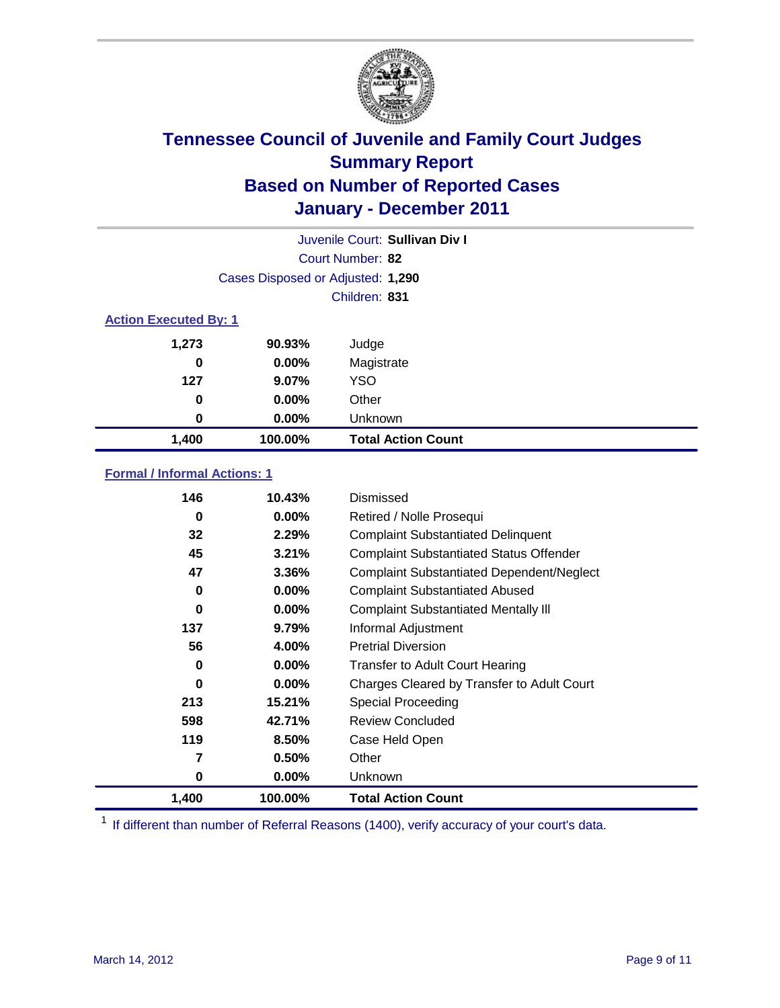

|       |                                   | Juvenile Court: Sullivan Div I |  |  |
|-------|-----------------------------------|--------------------------------|--|--|
|       |                                   | Court Number: 82               |  |  |
|       | Cases Disposed or Adjusted: 1,290 |                                |  |  |
|       |                                   | Children: 831                  |  |  |
|       | <b>Action Executed By: 1</b>      |                                |  |  |
| 1,273 | 90.93%                            | Judge                          |  |  |
| 0     | $0.00\%$                          | Magistrate                     |  |  |
| 127   | $9.07\%$                          | <b>YSO</b>                     |  |  |
| 0     | $0.00\%$                          | Other                          |  |  |
| 0     | $0.00\%$                          | Unknown                        |  |  |
| 1,400 | 100.00%                           | <b>Total Action Count</b>      |  |  |

### **Formal / Informal Actions: 1**

| 146   | 10.43%   | Dismissed                                        |
|-------|----------|--------------------------------------------------|
| 0     | $0.00\%$ | Retired / Nolle Prosequi                         |
| 32    | 2.29%    | <b>Complaint Substantiated Delinquent</b>        |
| 45    | 3.21%    | <b>Complaint Substantiated Status Offender</b>   |
| 47    | 3.36%    | <b>Complaint Substantiated Dependent/Neglect</b> |
| 0     | 0.00%    | <b>Complaint Substantiated Abused</b>            |
| 0     | $0.00\%$ | <b>Complaint Substantiated Mentally III</b>      |
| 137   | $9.79\%$ | Informal Adjustment                              |
| 56    | 4.00%    | <b>Pretrial Diversion</b>                        |
| 0     | $0.00\%$ | <b>Transfer to Adult Court Hearing</b>           |
| 0     | $0.00\%$ | Charges Cleared by Transfer to Adult Court       |
| 213   | 15.21%   | <b>Special Proceeding</b>                        |
| 598   | 42.71%   | <b>Review Concluded</b>                          |
| 119   | 8.50%    | Case Held Open                                   |
| 7     | 0.50%    | Other                                            |
| 0     | 0.00%    | <b>Unknown</b>                                   |
| 1,400 | 100.00%  | <b>Total Action Count</b>                        |

<sup>1</sup> If different than number of Referral Reasons (1400), verify accuracy of your court's data.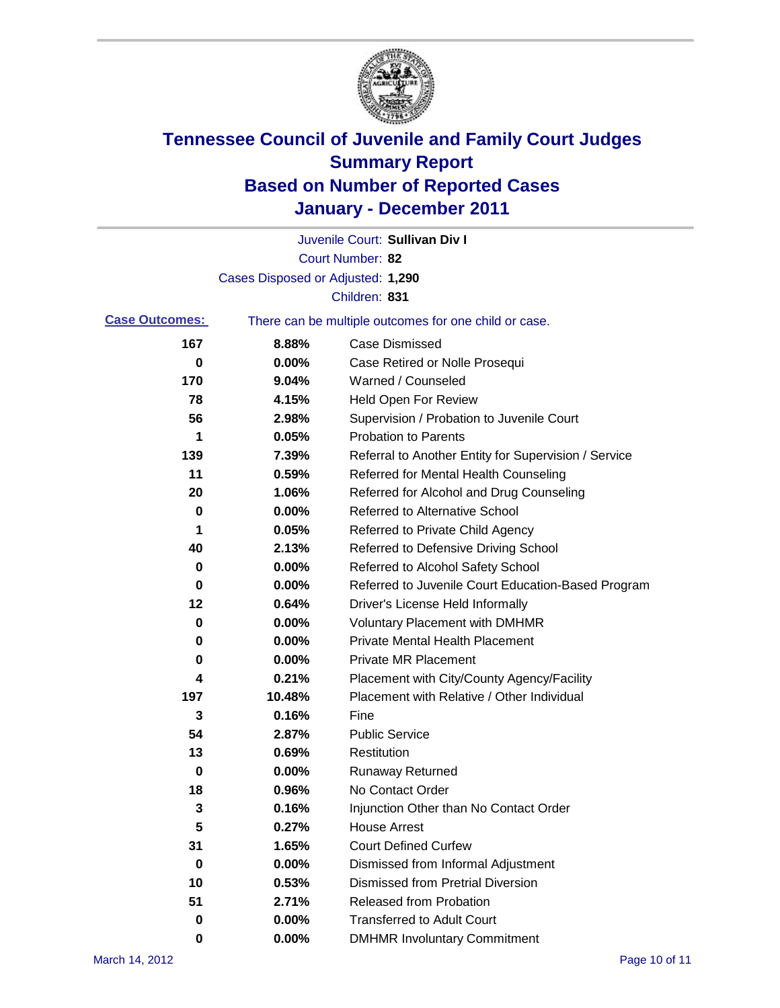

|                       |                                   | Juvenile Court: Sullivan Div I                        |
|-----------------------|-----------------------------------|-------------------------------------------------------|
|                       |                                   | Court Number: 82                                      |
|                       | Cases Disposed or Adjusted: 1,290 |                                                       |
|                       |                                   | Children: 831                                         |
| <b>Case Outcomes:</b> |                                   | There can be multiple outcomes for one child or case. |
| 167                   | 8.88%                             | <b>Case Dismissed</b>                                 |
| 0                     | 0.00%                             | Case Retired or Nolle Prosequi                        |
| 170                   | 9.04%                             | Warned / Counseled                                    |
| 78                    | 4.15%                             | <b>Held Open For Review</b>                           |
| 56                    | 2.98%                             | Supervision / Probation to Juvenile Court             |
| 1                     | 0.05%                             | <b>Probation to Parents</b>                           |
| 139                   | 7.39%                             | Referral to Another Entity for Supervision / Service  |
| 11                    | 0.59%                             | Referred for Mental Health Counseling                 |
| 20                    | 1.06%                             | Referred for Alcohol and Drug Counseling              |
| 0                     | 0.00%                             | <b>Referred to Alternative School</b>                 |
| 1                     | 0.05%                             | Referred to Private Child Agency                      |
| 40                    | 2.13%                             | Referred to Defensive Driving School                  |
| 0                     | 0.00%                             | Referred to Alcohol Safety School                     |
| 0                     | 0.00%                             | Referred to Juvenile Court Education-Based Program    |
| 12                    | 0.64%                             | Driver's License Held Informally                      |
| 0                     | 0.00%                             | <b>Voluntary Placement with DMHMR</b>                 |
| 0                     | 0.00%                             | <b>Private Mental Health Placement</b>                |
| 0                     | 0.00%                             | <b>Private MR Placement</b>                           |
| 4                     | 0.21%                             | Placement with City/County Agency/Facility            |
| 197                   | 10.48%                            | Placement with Relative / Other Individual            |
| 3                     | 0.16%                             | Fine                                                  |
| 54                    | 2.87%                             | <b>Public Service</b>                                 |
| 13                    | 0.69%                             | Restitution                                           |
| 0                     | 0.00%                             | <b>Runaway Returned</b>                               |
| 18                    | 0.96%                             | No Contact Order                                      |
| 3                     | 0.16%                             | Injunction Other than No Contact Order                |
| 5                     | 0.27%                             | <b>House Arrest</b>                                   |
| 31                    | 1.65%                             | <b>Court Defined Curfew</b>                           |
| 0                     | 0.00%                             | Dismissed from Informal Adjustment                    |
| 10                    | 0.53%                             | <b>Dismissed from Pretrial Diversion</b>              |
| 51                    | 2.71%                             | Released from Probation                               |
| 0                     | 0.00%                             | <b>Transferred to Adult Court</b>                     |
| 0                     | $0.00\%$                          | <b>DMHMR Involuntary Commitment</b>                   |